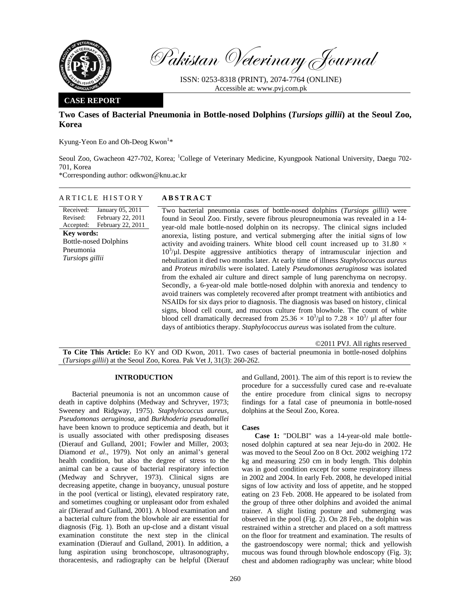

Pakistan Veterinary Journal

ISSN: 0253-8318 (PRINT), 2074-7764 (ONLINE) Accessible at: www.pvj.com.pk

### **CASE REPORT**

# **Two Cases of Bacterial Pneumonia in Bottle-nosed Dolphins (***Tursiops gillii***) at the Seoul Zoo, Korea**

Kyung-Yeon Eo and Oh-Deog Kwon<sup>1\*</sup>

Seoul Zoo, Gwacheon 427-702, Korea; <sup>1</sup>College of Veterinary Medicine, Kyungpook National University, Daegu 702-701, Korea

\*Corresponding author: odkwon@knu.ac.kr

### ARTICLE HISTORY **ABSTRACT**

Received: Revised: Accepted: January 05, 2011 February 22, 2011 February 22, 2011 **Key words:**  Bottle-nosed Dolphins Pneumonia *Tursiops gillii*

Two bacterial pneumonia cases of bottle-nosed dolphins (*Tursiops gillii*) were found in Seoul Zoo. Firstly, severe fibrous pleuropneumonia was revealed in a 14 year-old male bottle-nosed dolphin on its necropsy. The clinical signs included anorexia, listing posture, and vertical submerging after the initial signs of low activity and avoiding trainers. White blood cell count increased up to 31.80  $\times$  $10^3$ / $\mu$ l. Despite aggressive antibiotics therapy of intramuscular injection and nebulization it died two months later. At early time of illness *Staphylococcus aureus*  and *Proteus mirabilis* were isolated. Lately *Pseudomonas aeruginosa* was isolated from the exhaled air culture and direct sample of lung parenchyma on necropsy. Secondly, a 6-year-old male bottle-nosed dolphin with anorexia and tendency to avoid trainers was completely recovered after prompt treatment with antibiotics and NSAIDs for six days prior to diagnosis. The diagnosis was based on history, clinical signs, blood cell count, and mucous culture from blowhole. The count of white blood cell dramatically decreased from  $25.36 \times 10^3/\mu$ l to  $7.28 \times 10^3/\mu$ l after four days of antibiotics therapy. *Staphylococcus aureus* was isolated from the culture.

©2011 PVJ. All rights reserved **To Cite This Article:** Eo KY and OD Kwon, 2011. Two cases of bacterial pneumonia in bottle-nosed dolphins (*Tursiops gillii*) at the Seoul Zoo, Korea. Pak Vet J, 31(3): 260-262.

### **INTRODUCTION**

Bacterial pneumonia is not an uncommon cause of death in captive dolphins (Medway and Schryver, 1973; Sweeney and Ridgway, 1975). *Staphylococcus aureus, Pseudomonas aeruginosa*, and *Burkhoderia pseudomallei* have been known to produce septicemia and death, but it is usually associated with other predisposing diseases (Dierauf and Gulland, 2001; Fowler and Miller, 2003; Diamond *et al*., 1979). Not only an animal's general health condition, but also the degree of stress to the animal can be a cause of bacterial respiratory infection (Medway and Schryver, 1973). Clinical signs are decreasing appetite, change in buoyancy, unusual posture in the pool (vertical or listing), elevated respiratory rate, and sometimes coughing or unpleasant odor from exhaled air (Dierauf and Gulland, 2001). A blood examination and a bacterial culture from the blowhole air are essential for diagnosis (Fig. 1). Both an up-close and a distant visual examination constitute the next step in the clinical examination (Dierauf and Gulland, 2001). In addition, a lung aspiration using bronchoscope, ultrasonography, thoracentesis, and radiography can be helpful (Dierauf and Gulland, 2001). The aim of this report is to review the procedure for a successfully cured case and re-evaluate the entire procedure from clinical signs to necropsy findings for a fatal case of pneumonia in bottle-nosed dolphins at the Seoul Zoo, Korea.

#### **Cases**

**Case 1:** "DOLBI" was a 14-year-old male bottlenosed dolphin captured at sea near Jeju-do in 2002. He was moved to the Seoul Zoo on 8 Oct. 2002 weighing 172 kg and measuring 250 cm in body length. This dolphin was in good condition except for some respiratory illness in 2002 and 2004. In early Feb. 2008, he developed initial signs of low activity and loss of appetite, and he stopped eating on 23 Feb. 2008. He appeared to be isolated from the group of three other dolphins and avoided the animal trainer. A slight listing posture and submerging was observed in the pool (Fig. 2). On 28 Feb., the dolphin was restrained within a stretcher and placed on a soft mattress on the floor for treatment and examination. The results of the gastroendoscopy were normal; thick and yellowish mucous was found through blowhole endoscopy (Fig. 3); chest and abdomen radiography was unclear; white blood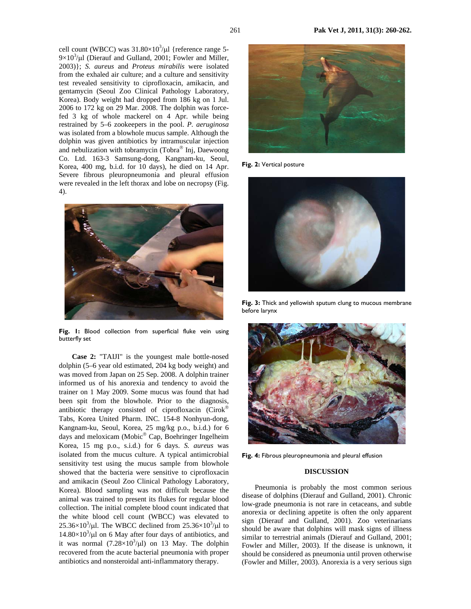cell count (WBCC) was  $31.80\times10^3/\mu$ l {reference range 5- $9\times10^3/\mu$ l (Dierauf and Gulland, 2001; Fowler and Miller, 2003)}; *S. aureus* and *Proteus mirabilis* were isolated from the exhaled air culture; and a culture and sensitivity test revealed sensitivity to ciprofloxacin, amikacin, and gentamycin (Seoul Zoo Clinical Pathology Laboratory, Korea). Body weight had dropped from 186 kg on 1 Jul. 2006 to 172 kg on 29 Mar. 2008. The dolphin was forcefed 3 kg of whole mackerel on 4 Apr. while being restrained by 5–6 zookeepers in the pool. *P. aeruginosa* was isolated from a blowhole mucus sample. Although the dolphin was given antibiotics by intramuscular injection and nebulization with tobramycin (Tobra® Inj, Daewoong Co. Ltd. 163-3 Samsung-dong, Kangnam-ku, Seoul, Korea, 400 mg, b.i.d. for 10 days), he died on 14 Apr. Severe fibrous pleuropneumonia and pleural effusion were revealed in the left thorax and lobe on necropsy (Fig. 4).



**Fig. 1:** Blood collection from superficial fluke vein using butterfly set

**Case 2:** "TAIJI" is the youngest male bottle-nosed dolphin (5–6 year old estimated, 204 kg body weight) and was moved from Japan on 25 Sep. 2008. A dolphin trainer informed us of his anorexia and tendency to avoid the trainer on 1 May 2009. Some mucus was found that had been spit from the blowhole. Prior to the diagnosis, antibiotic therapy consisted of ciprofloxacin (Cirok® Tabs, Korea United Pharm. INC. 154-8 Nonhyun-dong, Kangnam-ku, Seoul, Korea, 25 mg/kg p.o., b.i.d.) for 6 days and meloxicam (Mobic® Cap, Boehringer Ingelheim Korea, 15 mg p.o., s.i.d.) for 6 days. *S. aureus* was isolated from the mucus culture. A typical antimicrobial sensitivity test using the mucus sample from blowhole showed that the bacteria were sensitive to ciprofloxacin and amikacin (Seoul Zoo Clinical Pathology Laboratory, Korea). Blood sampling was not difficult because the animal was trained to present its flukes for regular blood collection. The initial complete blood count indicated that the white blood cell count (WBCC) was elevated to  $25.36 \times 10^3$ / $\mu$ l. The WBCC declined from  $25.36 \times 10^3$ / $\mu$ l to  $14.80\times10^{3}/\mu$ l on 6 May after four days of antibiotics, and it was normal  $(7.28 \times 10^3/\mu l)$  on 13 May. The dolphin recovered from the acute bacterial pneumonia with proper antibiotics and nonsteroidal anti-inflammatory therapy.



**Fig. 2:** Vertical posture



**Fig. 3:** Thick and yellowish sputum clung to mucous membrane before larynx



**Fig. 4:** Fibrous pleuropneumonia and pleural effusion

#### **DISCUSSION**

Pneumonia is probably the most common serious disease of dolphins (Dierauf and Gulland, 2001). Chronic low-grade pneumonia is not rare in cetaceans, and subtle anorexia or declining appetite is often the only apparent sign (Dierauf and Gulland, 2001). Zoo veterinarians should be aware that dolphins will mask signs of illness similar to terrestrial animals (Dierauf and Gulland, 2001; Fowler and Miller, 2003). If the disease is unknown, it should be considered as pneumonia until proven otherwise (Fowler and Miller, 2003). Anorexia is a very serious sign